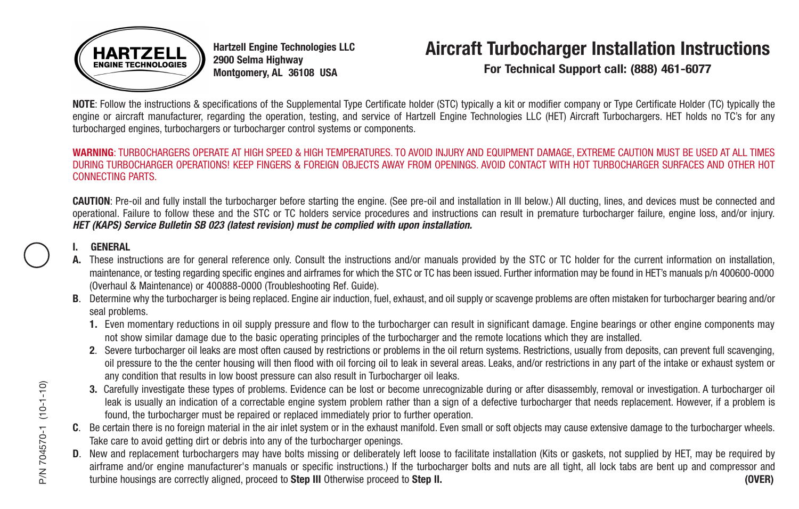

**Hartzell Engine Technologies LLC 2900 Selma Highway Montgomery, AL 36108 USA**

# **Aircraft Turbocharger Installation Instructions**

**For Technical Support call: (888) 461-6077**

**NOTE**: Follow the instructions & specifications of the Supplemental Type Certificate holder (STC) typically a kit or modifier company or Type Certificate Holder (TC) typically the engine or aircraft manufacturer, regarding the operation, testing, and service of Hartzell Engine Technologies LLC (HET) Aircraft Turbochargers, HET holds no TC's for any turbocharged engines, turbochargers or turbocharger control systems or components.

### **WARNING**: TURBOCHARGERS OPERATE AT HIGH SPEED & HIGH TEMPERATURES. TO AVOID INJURY AND EQUIPMENT DAMAGE, EXTREME CAUTION MUST BE USED AT ALL TIMES DURING TURBOCHARGER OPERATIONS! KEEP FINGERS & FOREIGN OBJECTS AWAY FROM OPENINGS. AVOID CONTACT WITH HOT TURBOCHARGER SURFACES AND OTHER HOT CONNECTING PARTS.

**CAUTION**: Pre-oil and fully install the turbocharger before starting the engine. (See pre-oil and installation in III below.) All ducting, lines, and devices must be connected and operational. Failure to follow these and the STC or TC holders service procedures and instructions can result in premature turbocharger failure, engine loss, and/or injury. *HET (KAPS) Service Bulletin SB 023 (latest revision) must be complied with upon installation.*

## **I. GENERAL**

- **A.** These instructions are for general reference only. Consult the instructions and/or manuals provided by the STC or TC holder for the current information on installation, maintenance, or testing regarding specific engines and airframes for which the STC or TC has been issued. Further information may be found in HET's manuals p/n 400600-0000 (Overhaul & Maintenance) or 400888-0000 (Troubleshooting Ref. Guide).
- **B**. Determine why the turbocharger is being replaced. Engine air induction, fuel, exhaust, and oil supply or scavenge problems are often mistaken for turbocharger bearing and/or seal problems.
	- **1.** Even momentary reductions in oil supply pressure and flow to the turbocharger can result in significant damage. Engine bearings or other engine components may not show similar damage due to the basic operating principles of the turbocharger and the remote locations which they are installed.
	- 2. Severe turbocharger oil leaks are most often caused by restrictions or problems in the oil return systems. Restrictions, usually from deposits, can prevent full scavenging. oil pressure to the the center housing will then flood with oil forcing oil to leak in several areas. Leaks, and/or restrictions in any part of the intake or exhaust system or any condition that results in low boost pressure can also result in Turbocharger oil leaks.
	- **3.** Carefully investigate these types of problems. Evidence can be lost or become unrecognizable during or after disassembly, removal or investigation. A turbocharger oil leak is usually an indication of a correctable engine system problem rather than a sign of a defective turbocharger that needs replacement. However, if a problem is found, the turbocharger must be repaired or replaced immediately prior to further operation.
- **C**. Be certain there is no foreign material in the air inlet system or in the exhaust manifold. Even small or soft objects may cause extensive damage to the turbocharger wheels. Take care to avoid getting dirt or debris into any of the turbocharger openings.
- **D**. New and replacement turbochargers may have bolts missing or deliberately left loose to facilitate installation (Kits or gaskets, not supplied by HET, may be required by airframe and/or engine manufacturer's manuals or specific instructions.) If the turbocharger bolts and nuts are all tight, all lock tabs are bent up and compressor and 3. Carefully investigate these types of problems. Evidence can be lost or become unrecognizable during or after disassembly, removal or investigation. A turbocharger oileak is usually an indication of a correctable engine